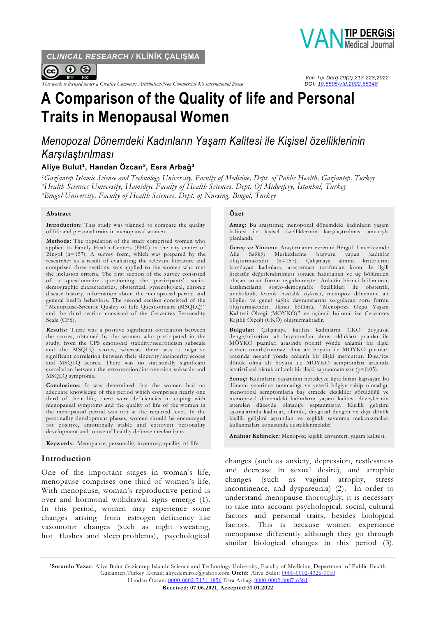*CLINICAL RESEARCH /* **KLİNİK ÇALIŞMA**



*This work is licensed under a Creative Commons Attribution-Non Commercial 4.0 international license* 



 *Van Tıp Derg 29(2):217-223,2022* 

# **A Comparison of the Quality of life and Personal Traits in Menopausal Women**

## *Menopozal Dönemdeki Kadınların Yaşam Kalitesi ile Kişisel özelliklerinin Karşılaştırılması*

#### **Aliye Bulut<sup>1</sup> , Handan Özcan<sup>2</sup> , Esra Arbağ<sup>3</sup>**

*<sup>1</sup>Gaziantep Islamic Science and Technology University, Faculty of Medicine, Dept. of Public Health, Gaziantep, Turkey <sup>2</sup>Health Sciences University, Hamidiye Faculty of Health Sciences, Dept. Of Midwifery, İstanbul, Turkey <sup>3</sup>Bıngol University, Faculty of Health Sciences, Dept. of Nursing, Bıngol, Turkey*

#### **Abstract**

**Introduction:** This study was planned to compare the quality of life and personal traits in menopausal women.

**Methods:** The population of the study comprised women who applied to Family Health Centers (FHC) in the city center of Bingol (n=157). A survey form, which was prepared by the researcher as a result of evaluating the relevant literature and comprised three sections, was applied to the women who met the inclusion criteria. The first section of the survey consisted of a questionnaire questioning the participants' sociodemographic characteristics, obstetrical, gynecological, chronic disease history, information about the menopausal period and general health behaviors. The second section consisted of the "Menopause-Specific Quality of Life Questionnaire (MSQLQ)" and the third section consisted of the Cervantes Personality Scale (CPS).

**Results:** There was a positive significant correlation between the scores, obtained by the women who participated in the study, from the CPS emotional stability/neuroticism subscale and the MSQLQ scores, whereas there was a negative significant correlation between their sincerity/insincerity scores and MSQLQ scores. There was no statistically significant correlation between the extroversion/introversion subscale and MSQLQ symptoms.

**Conclusions:** It was determined that the women had no adequate knowledge of this period which comprises nearly one third of their life, there were deficiencies in coping with menopausal symptoms and the quality of life of the women in the menopausal period was not at the required level. In the personality development phases, women should be encouraged for positive, emotionally stable and extrovert personality development and to use of healthy defense mechanisms.

**Keywords:** Menopause; personality inventory; quality of life.

## **Introduction**

One of the important stages in woman's life, menopause comprises one third of women's life. With menopause, woman's reproductive period is over and hormonal withdrawal signs emerge (1). In this period, women may experience some changes arising from estrogen deficiency like vasomotor changes (such as night sweating, hot flushes and sleep problems), psychological

#### **Özet**

**Amaç:** Bu araştırma; menopozal dönemdeki kadınların yaşam kalitesi ile kişisel özelliklerinin karşılaştırılması amacıyla planlandı.

**Gereç ve Yöntem:** Araştırmanın evrenini Bingöl il merkezinde Aile Sağlığı Merkezlerine başvuru yapan kadınlar oluşturmaktadır (n=157). Çalışmaya alınma kriterlerini karşılayan kadınlara, araştırmacı tarafından konu ile ilgili literatür değerlendirilmesi sonucu hazırlanan ve üç bölümden oluşan anket formu uygulanmıştır. Anketin birinci bölümünü, katılımcıların sosyo-demografik özellikleri ile obstetrik, jinekolojik, kronik hastalık öyküsü, menopoz dönemine ait bilgiler ve genel sağlık davranışlarını sorgulayan soru formu oluşturmaktadır. İkinci bölümü, ''Menopoza Özgü Yaşam Kalitesi Ölçeği (MÖYKÖ)'' ve üçüncü bölümü ise Cervantes Kişilik Ölçeği (CKÖ) oluşturmaktadır.

**Bulgular:** Çalışmaya katılan kadınların CKÖ duygusal denge/nörotizm alt boyutundan almış oldukları puanlar ile MÖYKÖ puanları arasında pozitif yönde anlamlı bir ilişki varken tutarlı/tutarsız olma alt boyutu ile MÖYKÖ puanları arasında negatif yönde anlamlı bir ilişki mevcuttur. Dışa/içe dönük olma alt boyutu ile MÖYKÖ semptomları arasında istatistiksel olarak anlamlı bir ilişki saptanmamıştır (p<0.05).

**Sonuç:** Kadınların yaşamının neredeyse üçte birini kapsayan bu dönemi yeterince tanımadığı ve yeterli bilgiye sahip olmadığı, menopozal semptomlarla baş etmede eksikliler görüldüğü ve menopozal dönemdeki kadınların yaşam kalitesi düzeylerinin istenilen düzeyde olmadığı saptanmıştır. Kişilik gelişimi aşamalarında kadınlar, olumlu, duygusal dengeli ve dışa dönük kişilik gelişimi açısından ve sağlıklı savunma mekanizmaları kullanmaları konusunda desteklenmelidir.

**Anahtar Kelimeler:** Menopoz; kişilik envanteri; yaşam kalitesi.

changes (such as anxiety, depression, restlessness and decrease in sexual desire), and atrophic changes (such as vaginal atrophy, stress incontinence, and dyspareunia) (2). In order to understand menopause thoroughly, it is necessary to take into account psychological, social, cultural factors and personal traits, besides biological factors. This is because women experience menopause differently although they go through similar biological changes in this period (3).

**\*Sorumlu Yazar:** Aliye Bulut Gaziantep Islamic Science and Technology University, Faculty of Medicine, Department of Public Health Gaziantep,Turkey E-mail: aliyedemirok@yahoo.com **Orcid:** Aliye Bulut: [0000-0002-4326-0000](https://orcid.org/0000-0002-4326-0000) Handan Özcan: [0000-0002-7131-1856](https://orcid.org/0000-0002-7131-1856) Esra Arbağ: [0000-0002-8087-6381](https://orcid.org/0000-0002-8087-6381)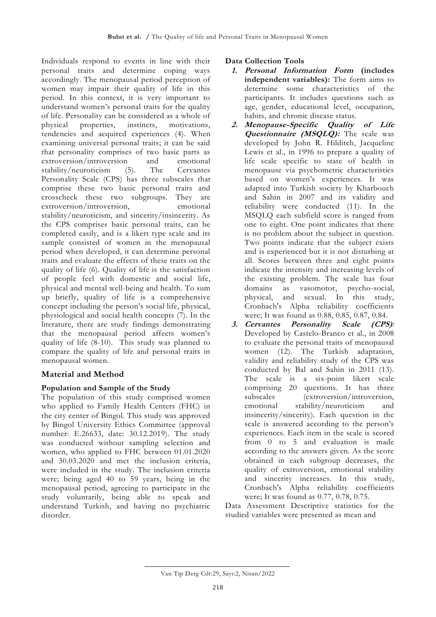Individuals respond to events in line with their personal traits and determine coping ways accordingly. The menopausal period perception of women may impair their quality of life in this period. In this context, it is very important to understand women's personal traits for the quality of life. Personality can be considered as a whole of physical properties, instincts, motivations, tendencies and acquired experiences (4). When examining universal personal traits; it can be said that personality comprises of two basic parts as extroversion/introversion and emotional stability/neuroticism (5). The Cervantes Personality Scale (CPS) has three subscales that comprise these two basic personal traits and crosscheck these two subgroups. They are extroversion/introversion, emotional stability/neuroticism, and sincerity/insincerity. As the CPS comprises basic personal traits, can be completed easily, and is a likert type scale and its sample consisted of women in the menopausal period when developed, it can determine personal traits and evaluate the effects of these traits on the quality of life (6). Quality of life is the satisfaction of people feel with domestic and social life, physical and mental well-being and health. To sum up briefly, quality of life is a comprehensive concept including the person's social life, physical, physiological and social health concepts (7). In the literature, there are study findings demonstrating that the menopausal period affects women's quality of life (8-10). This study was planned to compare the quality of life and personal traits in menopausal women.

## **Material and Method**

## **Population and Sample of the Study**

The population of this study comprised women who applied to Family Health Centers (FHC) in the city center of Bingol. This study was approved by Bingol University Ethics Committee (approval number: E.26633, date: 30.12.2019). The study was conducted without sampling selection and women, who applied to FHC between 01.01.2020 and 30.03.2020 and met the inclusion criteria, were included in the study. The inclusion criteria were; being aged 40 to 59 years, being in the menopausal period, agreeing to participate in the study voluntarily, being able to speak and understand Turkish, and having no psychiatric disorder.

## **Data Collection Tools**

- **1. Personal Information Form (includes independent variables):** The form aims to determine some characteristics of the participants. It includes questions such as age, gender, educational level, occupation, habits, and chronic disease status.
- **2. Menopause-Specific Quality of Life Questionnaire (MSQLQ):** The scale was developed by John R. Hilditch, Jacqueline Lewis et al., in 1996 to prepare a quality of life scale specific to state of health in menopause via psychometric characteristics based on women's experiences. It was adapted into Turkish society by Kharbouch and Sahin in 2007 and its validity and reliability were conducted (11). In the MSQLQ each subfield score is ranged from one to eight. One point indicates that there is no problem about the subject in question. Two points indicate that the subject exists and is experienced but it is not disturbing at all. Scores between three and eight points indicate the intensity and increasing levels of the existing problem. The scale has four domains as vasomotor, psycho-social, physical, and sexual. In this study, Cronbach's Alpha reliability coefficients were; It was found as 0.88, 0.85, 0.87, 0.84.
- **3. Cervantes Personality Scale (CPS)***:*  Developed by Castelo-Branco et al., in 2008 to evaluate the personal traits of menopausal women (12). The Turkish adaptation, validity and reliability study of the CPS was conducted by Bal and Sahin in 2011 (13). The scale is a six-point likert scale comprising 20 questions. It has three subscales (extroversion/introversion, emotional stability/neuroticism and insincerity/sincerity). Each question in the scale is answered according to the person's experiences. Each item in the scale is scored from 0 to 5 and evaluation is made according to the answers given. As the score obtained in each subgroup decreases, the quality of extroversion, emotional stability and sincerity increases. In this study, Cronbach's Alpha reliability coefficients were; It was found as 0.77, 0.78, 0.75.

Data Assessment Descriptive statistics for the studied variables were presented as mean and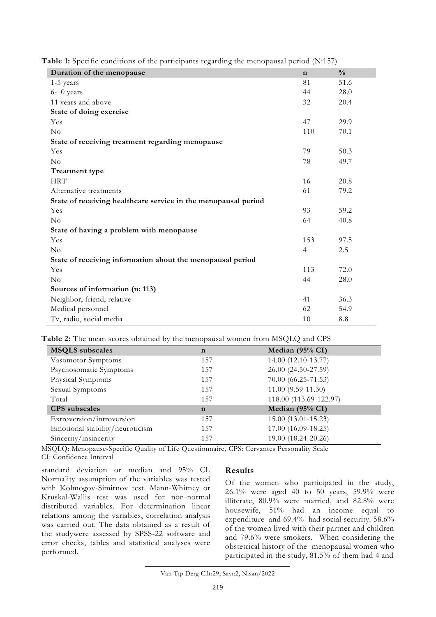| Duration of the menopause                                      | $\mathbf n$    | $\frac{0}{0}$ |
|----------------------------------------------------------------|----------------|---------------|
| 1-5 years                                                      | 81             | 51.6          |
| 6-10 years                                                     | 44             | 28.0          |
| 11 years and above                                             | 32             | 20.4          |
| State of doing exercise                                        |                |               |
| Yes                                                            | 47             | 29.9          |
| $\rm No$                                                       | 110            | 70.1          |
| State of receiving treatment regarding menopause               |                |               |
| Yes                                                            | 79             | 50.3          |
| $\rm No$                                                       | 78             | 49.7          |
| Treatment type                                                 |                |               |
| <b>HRT</b>                                                     | 16             | 20.8          |
| Alternative treatments                                         | 61             | 79.2          |
| State of receiving healthcare service in the menopausal period |                |               |
| Yes                                                            | 93             | 59.2          |
| No                                                             | 64             | 40.8          |
| State of having a problem with menopause                       |                |               |
| Yes                                                            | 153            | 97.5          |
| $\rm No$                                                       | $\overline{4}$ | 2.5           |
| State of receiving information about the menopausal period     |                |               |
| Yes                                                            | 113            | 72.0          |
| No                                                             | 44             | 28.0          |
| Sources of information (n: 113)                                |                |               |
| Neighbor, friend, relative                                     | 41             | 36.3          |
| Medical personnel                                              | 62             | 54.9          |
| Tv, radio, social media                                        | 10             | 8.8           |

**Table 1:** Specific conditions of the participants regarding the menopausal period (N:157)

**Table 2:** The mean scores obtained by the menopausal women from MSQLQ and CPS

| <b>MSQLS</b> subscales          | $\mathbf n$ | Median (95% CI)        |
|---------------------------------|-------------|------------------------|
| Vasomotor Symptoms              | 157         | 14.00 (12.10-13.77)    |
| Psychosomatic Symptoms          | 157         | 26.00 (24.50-27.59)    |
| Physical Symptoms               | 157         | $70.00(66.25-71.53)$   |
| Sexual Symptoms                 | 157         | $11.00(9.59-11.30)$    |
| Total                           | 157         | 118.00 (113.69-122.97) |
| <b>CPS</b> subscales            | $\mathbf n$ | Median (95% CI)        |
| Extroversion/introversion       | 157         | 15.00 (13.01-15.23)    |
| Emotional stability/neuroticism | 157         | 17.00 (16.09-18.25)    |
| Sincerity/insincerity           | 157         | 19.00 (18.24-20.26)    |

MSQLQ: Menopause-Specific Quality of Life Questionnaire, CPS: Cervantes Personality Scale CI: Confidence Interval

standard deviation or median and 95% CI. Normality assumption of the variables was tested with Kolmogov-Simirnov test. Mann-Whitney or Kruskal-Wallis test was used for non-normal distributed variables. For determination linear relations among the variables, correlation analysis was carried out. The data obtained as a result of the studywere assessed by SPSS-22 software and error checks, tables and statistical analyses were performed.

#### **Results**

Of the women who participated in the study, 26.1% were aged 40 to 50 years, 59.9% were illiterate, 80.9% were married, and 82.8% were housewife, 51% had an income equal to expenditure and 69.4% had social security. 58.6% of the women lived with their partner and children and 79.6% were smokers. When considering the obstetrical history of the menopausal women who participated in the study, 81.5% of them had 4 and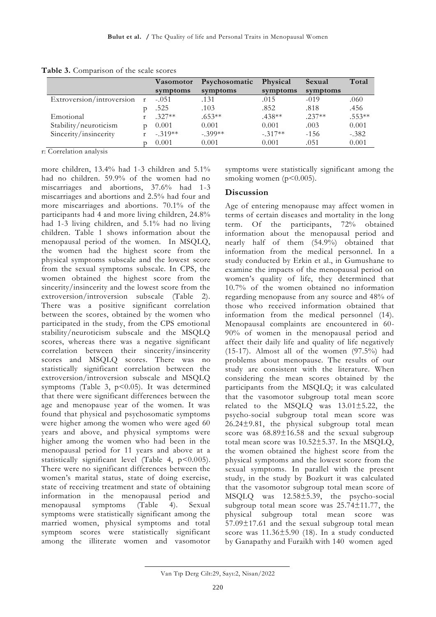|                           |              | <b>Vasomotor</b> | Psychosomatic | Physical  | Sexual   | Total    |
|---------------------------|--------------|------------------|---------------|-----------|----------|----------|
|                           |              | symptoms         | symptoms      | symptoms  | symptoms |          |
| Extroversion/introversion | $\mathbf{r}$ | $-.051$          | .131          | .015      | $-019$   | .060     |
|                           |              | .525             | .103          | .852      | .818     | .456     |
| Emotional                 |              | $.327**$         | $.653**$      | $.438**$  | $.237**$ | $.553**$ |
| Stability/neuroticism     |              | 0.001            | 0.001         | 0.001     | .003     | 0.001    |
| Sincerity/insincerity     |              | $-319**$         | $-.399**$     | $-.317**$ | $-1.56$  | $-.382$  |
|                           |              | 0.001            | 0.001         | 0.001     | .051     | 0.001    |

**Table 3.** Comparison of the scale scores

r: Correlation analysis

more children, 13.4% had 1-3 children and 5.1% had no children. 59.9% of the women had no miscarriages and abortions, 37.6% had 1-3 miscarriages and abortions and 2.5% had four and more miscarriages and abortions. 70.1% of the participants had 4 and more living children, 24.8% had 1-3 living children, and 5.1% had no living children. Table 1 shows information about the menopausal period of the women. In MSQLQ, the women had the highest score from the physical symptoms subscale and the lowest score from the sexual symptoms subscale. In CPS, the women obtained the highest score from the sincerity/insincerity and the lowest score from the extroversion/introversion subscale (Table 2). There was a positive significant correlation between the scores, obtained by the women who participated in the study, from the CPS emotional stability/neuroticism subscale and the MSQLQ scores, whereas there was a negative significant correlation between their sincerity/insincerity scores and MSQLQ scores. There was no statistically significant correlation between the extroversion/introversion subscale and MSQLQ symptoms (Table 3,  $p$ <0.05). It was determined that there were significant differences between the age and menopause year of the women. It was found that physical and psychosomatic symptoms were higher among the women who were aged 60 years and above, and physical symptoms were higher among the women who had been in the menopausal period for 11 years and above at a statistically significant level (Table 4, p<0.005). There were no significant differences between the women's marital status, state of doing exercise, state of receiving treatment and state of obtaining information in the menopausal period and menopausal symptoms (Table 4). Sexual symptoms were statistically significant among the married women, physical symptoms and total symptom scores were statistically significant among the illiterate women and vasomotor symptoms were statistically significant among the smoking women  $(p<0.005)$ .

#### **Discussion**

Age of entering menopause may affect women in terms of certain diseases and mortality in the long term. Of the participants, 72% obtained information about the menopausal period and nearly half of them (54.9%) obtained that information from the medical personnel. In a study conducted by Erkin et al., in Gumushane to examine the impacts of the menopausal period on women's quality of life, they determined that 10.7% of the women obtained no information regarding menopause from any source and 48% of those who received information obtained that information from the medical personnel (14). Menopausal complaints are encountered in 60- 90% of women in the menopausal period and affect their daily life and quality of life negatively  $(15-17)$ . Almost all of the women  $(97.5\%)$  had problems about menopause. The results of our study are consistent with the literature. When considering the mean scores obtained by the participants from the MSQLQ; it was calculated that the vasomotor subgroup total mean score related to the MSQLQ was 13.01±5.22, the psycho-social subgroup total mean score was 26.24±9.81, the physical subgroup total mean score was  $68.89 \pm 16.58$  and the sexual subgroup total mean score was 10.52±5.37. In the MSQLQ, the women obtained the highest score from the physical symptoms and the lowest score from the sexual symptoms. In parallel with the present study, in the study by Bozkurt it was calculated that the vasomotor subgroup total mean score of MSQLQ was 12.58±5.39, the psycho-social subgroup total mean score was 25.74±11.77, the physical subgroup total mean score was 57.09±17.61 and the sexual subgroup total mean score was 11.36±5.90 (18). In a study conducted by Ganapathy and Furaikh with 140 women aged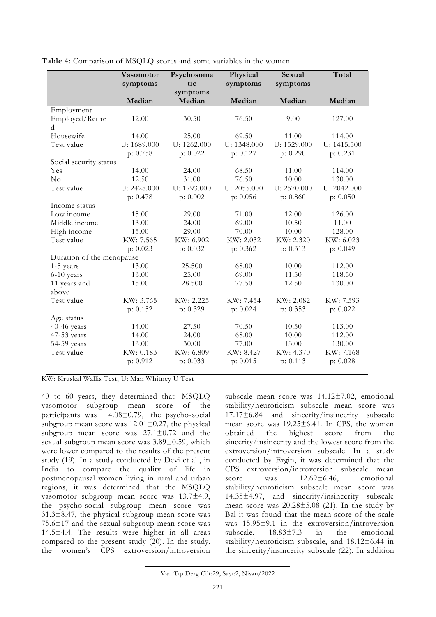| symptoms<br>Median<br>Median<br>Median<br>Median<br>Median<br>Employment<br>Employed/Retire<br>30.50<br>76.50<br>9.00<br>127.00<br>12.00<br>d<br>Housewife<br>14.00<br>25.00<br>69.50<br>11.00<br>114.00<br>Test value<br>U: 1689.000<br>U: 1262.000<br>U: 1348.000<br>U: 1529.000<br>U: 1415.500<br>p: 0.758<br>p: 0.022<br>p: 0.127<br>p: 0.290<br>p: 0.231<br>Social security status<br>14.00<br>24.00<br>68.50<br>11.00<br>114.00<br>Yes |    | Vasomotor | Psychosoma | Physical | Sexual   | Total  |
|----------------------------------------------------------------------------------------------------------------------------------------------------------------------------------------------------------------------------------------------------------------------------------------------------------------------------------------------------------------------------------------------------------------------------------------------|----|-----------|------------|----------|----------|--------|
|                                                                                                                                                                                                                                                                                                                                                                                                                                              |    | symptoms  | tic        | symptoms | symptoms |        |
|                                                                                                                                                                                                                                                                                                                                                                                                                                              |    |           |            |          |          |        |
|                                                                                                                                                                                                                                                                                                                                                                                                                                              |    |           |            |          |          |        |
|                                                                                                                                                                                                                                                                                                                                                                                                                                              |    |           |            |          |          |        |
|                                                                                                                                                                                                                                                                                                                                                                                                                                              |    |           |            |          |          |        |
|                                                                                                                                                                                                                                                                                                                                                                                                                                              |    |           |            |          |          |        |
|                                                                                                                                                                                                                                                                                                                                                                                                                                              |    |           |            |          |          |        |
|                                                                                                                                                                                                                                                                                                                                                                                                                                              |    |           |            |          |          |        |
|                                                                                                                                                                                                                                                                                                                                                                                                                                              |    |           |            |          |          |        |
|                                                                                                                                                                                                                                                                                                                                                                                                                                              |    |           |            |          |          |        |
|                                                                                                                                                                                                                                                                                                                                                                                                                                              | No | 12.50     | 31.00      | 76.50    | 10.00    | 130.00 |
| Test value<br>U: 2428.000<br>U: 1793.000<br>U: 2055.000<br>U: 2570.000<br>U: 2042.000                                                                                                                                                                                                                                                                                                                                                        |    |           |            |          |          |        |
| p: 0.478<br>p: 0.002<br>p: 0.056<br>p: 0.860<br>p: 0.050                                                                                                                                                                                                                                                                                                                                                                                     |    |           |            |          |          |        |
| Income status                                                                                                                                                                                                                                                                                                                                                                                                                                |    |           |            |          |          |        |
| Low income<br>15.00<br>71.00<br>12.00<br>29.00<br>126.00                                                                                                                                                                                                                                                                                                                                                                                     |    |           |            |          |          |        |
| Middle income<br>13.00<br>24.00<br>69.00<br>10.50<br>11.00                                                                                                                                                                                                                                                                                                                                                                                   |    |           |            |          |          |        |
| High income<br>15.00<br>29.00<br>70.00<br>10.00<br>128.00                                                                                                                                                                                                                                                                                                                                                                                    |    |           |            |          |          |        |
| Test value<br>KW: 7.565<br>KW: 6.902<br>KW: 2.032<br>KW: 2.320<br>KW: 6.023                                                                                                                                                                                                                                                                                                                                                                  |    |           |            |          |          |        |
| p: 0.023<br>p: 0.032<br>p: 0.362<br>p: 0.313<br>p: 0.049                                                                                                                                                                                                                                                                                                                                                                                     |    |           |            |          |          |        |
| Duration of the menopause                                                                                                                                                                                                                                                                                                                                                                                                                    |    |           |            |          |          |        |
| 13.00<br>25.500<br>10.00<br>1-5 years<br>68.00<br>112.00                                                                                                                                                                                                                                                                                                                                                                                     |    |           |            |          |          |        |
| 25.00<br>13.00<br>69.00<br>11.50<br>118.50<br>6-10 years                                                                                                                                                                                                                                                                                                                                                                                     |    |           |            |          |          |        |
| 11 years and<br>15.00<br>28.500<br>77.50<br>12.50<br>130.00                                                                                                                                                                                                                                                                                                                                                                                  |    |           |            |          |          |        |
| above                                                                                                                                                                                                                                                                                                                                                                                                                                        |    |           |            |          |          |        |
| KW: 3.765<br>KW: 2.225<br>KW: 7.454<br>KW: 2.082<br>KW: 7.593<br>Test value                                                                                                                                                                                                                                                                                                                                                                  |    |           |            |          |          |        |
| p: 0.152<br>p: 0.329<br>p: 0.024<br>p: 0.353<br>p: 0.022                                                                                                                                                                                                                                                                                                                                                                                     |    |           |            |          |          |        |
| Age status                                                                                                                                                                                                                                                                                                                                                                                                                                   |    |           |            |          |          |        |
| 40-46 years<br>27.50<br>70.50<br>10.50<br>113.00<br>14.00                                                                                                                                                                                                                                                                                                                                                                                    |    |           |            |          |          |        |
| 47-53 years<br>14.00<br>24.00<br>68.00<br>10.00<br>112.00                                                                                                                                                                                                                                                                                                                                                                                    |    |           |            |          |          |        |
| 54-59 years<br>77.00<br>13.00<br>30.00<br>13.00<br>130.00                                                                                                                                                                                                                                                                                                                                                                                    |    |           |            |          |          |        |
| Test value<br>KW: 8.427<br>KW: 0.183<br>KW: 6.809<br>KW: 4.370<br>KW: 7.168                                                                                                                                                                                                                                                                                                                                                                  |    |           |            |          |          |        |
| p: 0.912<br>p: 0.033<br>p: 0.015<br>p: 0.113<br>p: 0.028                                                                                                                                                                                                                                                                                                                                                                                     |    |           |            |          |          |        |

**Table 4:** Comparison of MSQLQ scores and some variables in the women

KW: Kruskal Wallis Test, U: Man Whitney U Test

40 to 60 years, they determined that MSQLQ vasomotor subgroup mean score of the participants was 4.08±0.79, the psycho-social subgroup mean score was  $12.01 \pm 0.27$ , the physical subgroup mean score was 27.1±0.72 and the sexual subgroup mean score was 3.89±0.59, which were lower compared to the results of the present study (19). In a study conducted by Devi et al., in India to compare the quality of life in postmenopausal women living in rural and urban regions, it was determined that the MSQLQ vasomotor subgroup mean score was  $13.7\pm4.9$ , the psycho-social subgroup mean score was 31.3±8.47, the physical subgroup mean score was 75.6±17 and the sexual subgroup mean score was 14.5±4.4. The results were higher in all areas compared to the present study (20). In the study, the women's CPS extroversion/introversion subscale mean score was 14.12±7.02, emotional stability/neuroticism subscale mean score was 17.17±6.84 and sincerity/insincerity subscale mean score was 19.25±6.41. In CPS, the women obtained the highest score from the sincerity/insincerity and the lowest score from the extroversion/introversion subscale. In a study conducted by Ergin, it was determined that the CPS extroversion/introversion subscale mean score was  $12.69\pm6.46$ , emotional stability/neuroticism subscale mean score was 14.35±4.97, and sincerity/insincerity subscale mean score was  $20.28\pm5.08$  (21). In the study by Bal it was found that the mean score of the scale was 15.95±9.1 in the extroversion/introversion subscale, 18.83±7.3 in the emotional stability/neuroticism subscale, and 18.12±6.44 in the sincerity/insincerity subscale (22). In addition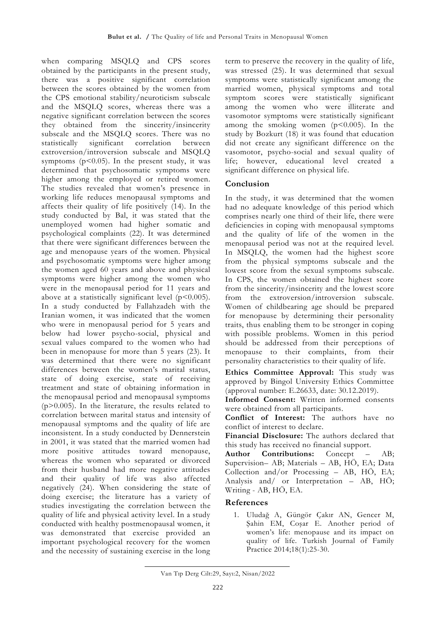when comparing MSQLQ and CPS scores obtained by the participants in the present study, there was a positive significant correlation between the scores obtained by the women from the CPS emotional stability/neuroticism subscale and the MSQLQ scores, whereas there was a negative significant correlation between the scores they obtained from the sincerity/insincerity subscale and the MSQLQ scores. There was no statistically significant correlation between extroversion/introversion subscale and MSQLQ symptoms ( $p$ <0.05). In the present study, it was determined that psychosomatic symptoms were higher among the employed or retired women. The studies revealed that women's presence in working life reduces menopausal symptoms and affects their quality of life positively (14). In the study conducted by Bal, it was stated that the unemployed women had higher somatic and psychological complaints (22). It was determined that there were significant differences between the age and menopause years of the women. Physical and psychosomatic symptoms were higher among the women aged 60 years and above and physical symptoms were higher among the women who were in the menopausal period for 11 years and above at a statistically significant level ( $p < 0.005$ ). In a study conducted by Fallahzadeh with the Iranian women, it was indicated that the women who were in menopausal period for 5 years and below had lower psycho-social, physical and sexual values compared to the women who had been in menopause for more than 5 years (23). It was determined that there were no significant differences between the women's marital status, state of doing exercise, state of receiving treatment and state of obtaining information in the menopausal period and menopausal symptoms  $(p>0.005)$ . In the literature, the results related to correlation between marital status and intensity of menopausal symptoms and the quality of life are inconsistent. In a study conducted by Dennerstein in 2001, it was stated that the married women had more positive attitudes toward menopause, whereas the women who separated or divorced from their husband had more negative attitudes and their quality of life was also affected negatively (24). When considering the state of doing exercise; the literature has a variety of studies investigating the correlation between the quality of life and physical activity level. In a study conducted with healthy postmenopausal women, it was demonstrated that exercise provided an important psychological recovery for the women and the necessity of sustaining exercise in the long

term to preserve the recovery in the quality of life, was stressed (25). It was determined that sexual symptoms were statistically significant among the married women, physical symptoms and total symptom scores were statistically significant among the women who were illiterate and vasomotor symptoms were statistically significant among the smoking women  $(p<0.005)$ . In the study by Bozkurt (18) it was found that education did not create any significant difference on the vasomotor, psycho-social and sexual quality of life; however, educational level created a significant difference on physical life.

#### **Conclusion**

In the study, it was determined that the women had no adequate knowledge of this period which comprises nearly one third of their life, there were deficiencies in coping with menopausal symptoms and the quality of life of the women in the menopausal period was not at the required level. In MSQLQ, the women had the highest score from the physical symptoms subscale and the lowest score from the sexual symptoms subscale. In CPS, the women obtained the highest score from the sincerity/insincerity and the lowest score from the extroversion/introversion subscale. Women of childbearing age should be prepared for menopause by determining their personality traits, thus enabling them to be stronger in coping with possible problems. Women in this period should be addressed from their perceptions of menopause to their complaints, from their personality characteristics to their quality of life.

**Ethics Committee Approval:** This study was approved by Bingol University Ethics Committee (approval number: E.26633, date: 30.12.2019).

**Informed Consent:** Written informed consents were obtained from all participants.

**Conflict of Interest:** The authors have no conflict of interest to declare.

**Financial Disclosure:** The authors declared that this study has received no financial support.

**Author Contributions:** Concept – AB; Supervision– AB; Materials – AB, HÖ, EA; Data Collection and/or Processing – AB, HÖ, EA; Analysis and/ or Interpretation – AB, HÖ; Writing - AB, HÖ, EA.

#### **References**

1. Uludağ A, Güngör Çakır AN, Gencer M, Şahin EM, Coşar E. Another period of women's life: menopause and its impact on quality of life. Turkish Journal of Family Practice 2014;18(1):25-30.